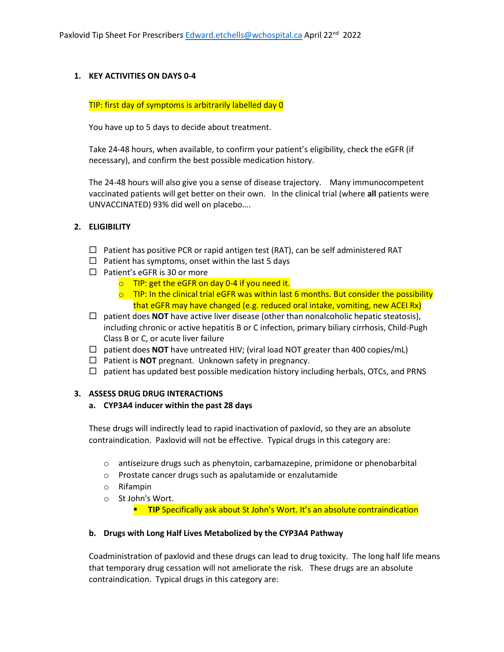# **1. KEY ACTIVITIES ON DAYS 0-4**

### TIP: first day of symptoms is arbitrarily labelled day 0

You have up to 5 days to decide about treatment.

Take 24-48 hours, when available, to confirm your patient's eligibility, check the eGFR (if necessary), and confirm the best possible medication history.

The 24-48 hours will also give you a sense of disease trajectory. Many immunocompetent vaccinated patients will get better on their own. In the clinical trial (where **all** patients were UNVACCINATED) 93% did well on placebo….

## **2. ELIGIBILITY**

- $\Box$  Patient has positive PCR or rapid antigen test (RAT), can be self administered RAT
- $\Box$  Patient has symptoms, onset within the last 5 days
- $\Box$  Patient's eGFR is 30 or more
	- $\circ$  TIP: get the eGFR on day 0-4 if you need it.
	- $\circ$  TIP: In the clinical trial eGFR was within last 6 months. But consider the possibility that eGFR may have changed (e.g. reduced oral intake, vomiting, new ACEI Rx)
- $\Box$  patient does **NOT** have active liver disease (other than nonalcoholic hepatic steatosis), including chronic or active hepatitis B or C infection, primary biliary cirrhosis, Child-Pugh Class B or C, or acute liver failure
- $\Box$  patient does **NOT** have untreated HIV; (viral load NOT greater than 400 copies/mL)
- $\Box$  Patient is **NOT** pregnant. Unknown safety in pregnancy.
- $\Box$  patient has updated best possible medication history including herbals, OTCs, and PRNS

#### **3. ASSESS DRUG DRUG INTERACTIONS**

#### **a. CYP3A4 inducer within the past 28 days**

These drugs will indirectly lead to rapid inactivation of paxlovid, so they are an absolute contraindication. Paxlovid will not be effective. Typical drugs in this category are:

- $\circ$  antiseizure drugs such as phenytoin, carbamazepine, primidone or phenobarbital
- o Prostate cancer drugs such as apalutamide or enzalutamide
- o Rifampin
- o St John's Wort.

**<u><b>E** TIP Specifically ask about St John's Wort. It's an absolute contraindication</u>

#### **b. Drugs with Long Half Lives Metabolized by the CYP3A4 Pathway**

Coadministration of paxlovid and these drugs can lead to drug toxicity. The long half life means that temporary drug cessation will not ameliorate the risk. These drugs are an absolute contraindication. Typical drugs in this category are: